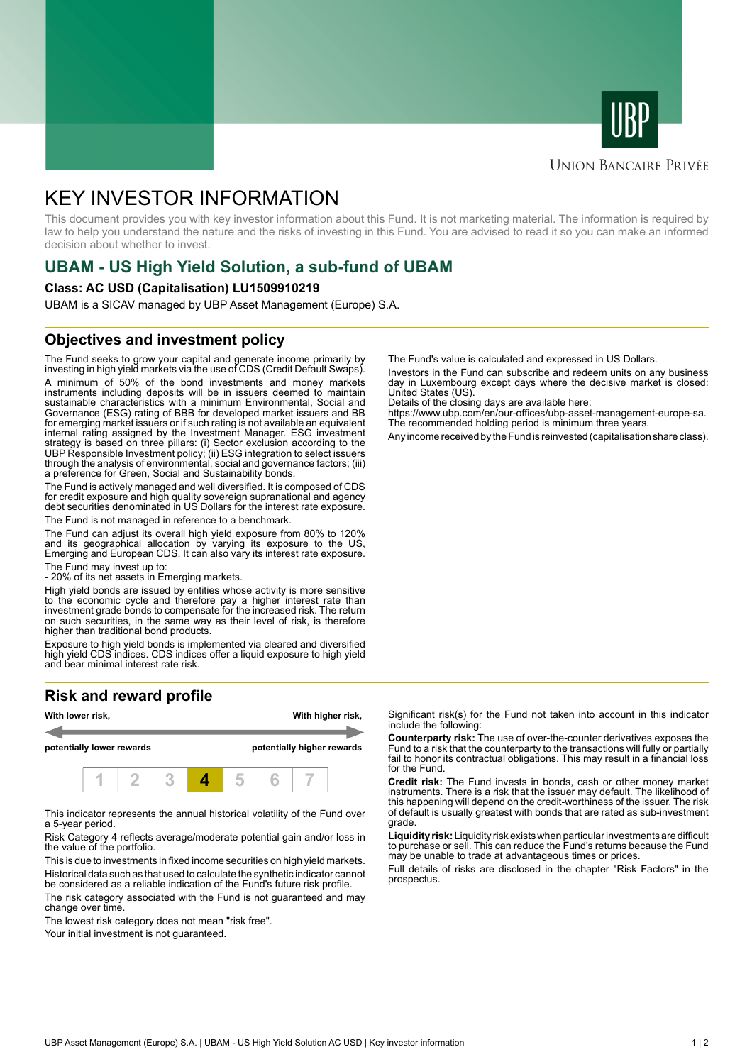



## **UNION BANCAIRE PRIVÉE**

# KEY INVESTOR INFORMATION

This document provides you with key investor information about this Fund. It is not marketing material. The information is required by law to help you understand the nature and the risks of investing in this Fund. You are advised to read it so you can make an informed decision about whether to invest.

# **UBAM - US High Yield Solution, a sub-fund of UBAM**

#### **Class: AC USD (Capitalisation) LU1509910219**

UBAM is a SICAV managed by UBP Asset Management (Europe) S.A.

## **Objectives and investment policy**

The Fund seeks to grow your capital and generate income primarily by investing in high yield markets via the use of CDS (Credit Default Swaps). A minimum of 50% of the bond investments and money markets instruments including deposits will be in issuers deemed to maintain sustainable characteristics with a minimum Environmental, Social and Governance (ESG) rating of BBB for developed market issuers and BB for emerging market issuers or if such rating is not available an equivalent internal rating assigned by the Investment Manager. ESG investment strategy is based on three pillars: (i) Sector exclusion according to the UBP Responsible Investment policy; (ii) ESG integration to select issuers through the analysis of environmental, social and governance factors; (iii) a preference for Green, Social and Sustainability bonds.

The Fund is actively managed and well diversified. It is composed of CDS for credit exposure and high quality sovereign supranational and agency debt securities denominated in US Dollars for the interest rate exposure. The Fund is not managed in reference to a benchmark.

The Fund can adjust its overall high yield exposure from 80% to 120% and its geographical allocation by varying its exposure to the US, Emerging and European CDS. It can also vary its interest rate exposure.

The Fund may invest up to:

- 20% of its net assets in Emerging markets.

High yield bonds are issued by entities whose activity is more sensitive to the economic cycle and therefore pay a higher interest rate than investment grade bonds to compensate for the increased risk. The return on such securities, in the same way as their level of risk, is therefore higher than traditional bond products.

Exposure to high yield bonds is implemented via cleared and diversified high yield CDS indices. CDS indices offer a liquid exposure to high yield and bear minimal interest rate risk.

# **Risk and reward profile**



This indicator represents the annual historical volatility of the Fund over a 5-year period.

Risk Category 4 reflects average/moderate potential gain and/or loss in the value of the portfolio.

This is due to investments in fixed income securities on high yield markets. Historical data such as that used to calculate the synthetic indicator cannot be considered as a reliable indication of the Fund's future risk profile. The risk category associated with the Fund is not guaranteed and may

change over time.

The lowest risk category does not mean "risk free".

Your initial investment is not guaranteed.

The Fund's value is calculated and expressed in US Dollars.

Investors in the Fund can subscribe and redeem units on any business day in Luxembourg except days where the decisive market is closed: United States (US).

Details of the closing days are available here:

https://www.ubp.com/en/our-offices/ubp-asset-management-europe-sa. The recommended holding period is minimum three years.

Any income received by the Fund is reinvested (capitalisation share class).

Significant risk(s) for the Fund not taken into account in this indicator include the following:

**Counterparty risk:** The use of over-the-counter derivatives exposes the Fund to a risk that the counterparty to the transactions will fully or partially fail to honor its contractual obligations. This may result in a financial loss for the Fund.

**Credit risk:** The Fund invests in bonds, cash or other money market instruments. There is a risk that the issuer may default. The likelihood of this happening will depend on the credit-worthiness of the issuer. The risk of default is usually greatest with bonds that are rated as sub-investment grade.

**Liquidity risk:** Liquidity risk exists when particular investments are difficult to purchase or sell. This can reduce the Fund's returns because the Fund may be unable to trade at advantageous times or prices.

Full details of risks are disclosed in the chapter "Risk Factors" in the prospectus.